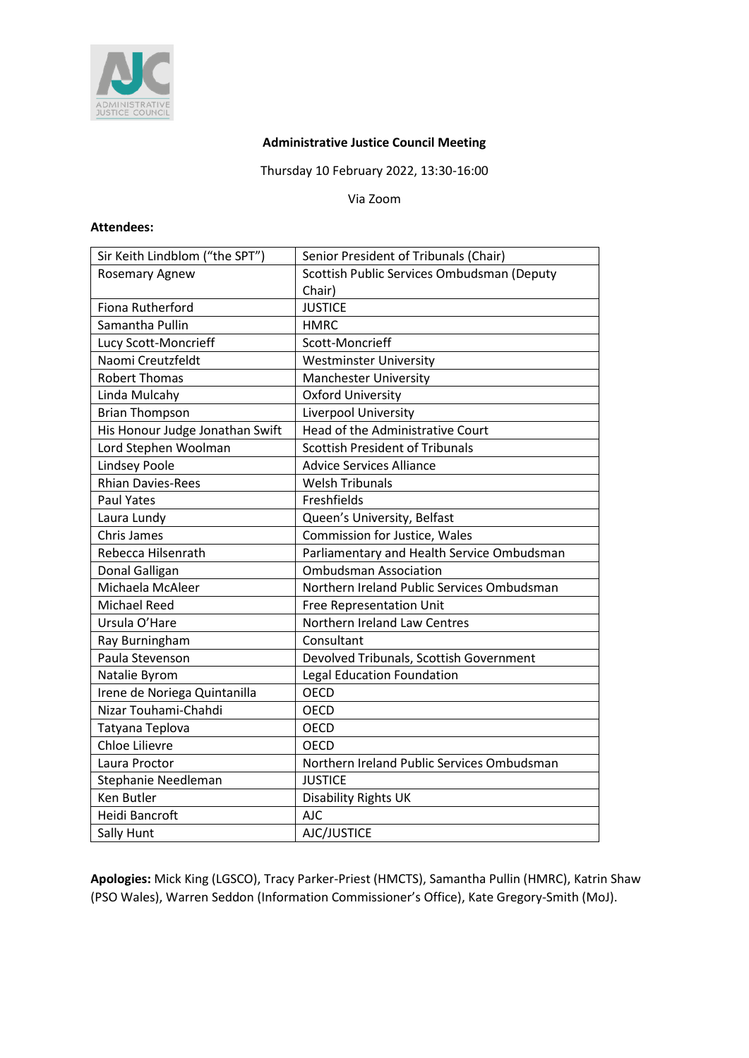

#### **Administrative Justice Council Meeting**

Thursday 10 February 2022, 13:30-16:00

Via Zoom

#### **Attendees:**

| Sir Keith Lindblom ("the SPT")  | Senior President of Tribunals (Chair)      |
|---------------------------------|--------------------------------------------|
| <b>Rosemary Agnew</b>           | Scottish Public Services Ombudsman (Deputy |
|                                 | Chair)                                     |
| Fiona Rutherford                | <b>JUSTICE</b>                             |
| Samantha Pullin                 | <b>HMRC</b>                                |
| Lucy Scott-Moncrieff            | Scott-Moncrieff                            |
| Naomi Creutzfeldt               | <b>Westminster University</b>              |
| <b>Robert Thomas</b>            | <b>Manchester University</b>               |
| Linda Mulcahy                   | <b>Oxford University</b>                   |
| <b>Brian Thompson</b>           | Liverpool University                       |
| His Honour Judge Jonathan Swift | Head of the Administrative Court           |
| Lord Stephen Woolman            | <b>Scottish President of Tribunals</b>     |
| Lindsey Poole                   | <b>Advice Services Alliance</b>            |
| <b>Rhian Davies-Rees</b>        | <b>Welsh Tribunals</b>                     |
| <b>Paul Yates</b>               | Freshfields                                |
| Laura Lundy                     | Queen's University, Belfast                |
| <b>Chris James</b>              | Commission for Justice, Wales              |
| Rebecca Hilsenrath              | Parliamentary and Health Service Ombudsman |
| Donal Galligan                  | <b>Ombudsman Association</b>               |
| Michaela McAleer                | Northern Ireland Public Services Ombudsman |
| <b>Michael Reed</b>             | Free Representation Unit                   |
| Ursula O'Hare                   | Northern Ireland Law Centres               |
| Ray Burningham                  | Consultant                                 |
| Paula Stevenson                 | Devolved Tribunals, Scottish Government    |
| Natalie Byrom                   | <b>Legal Education Foundation</b>          |
| Irene de Noriega Quintanilla    | <b>OECD</b>                                |
| Nizar Touhami-Chahdi            | <b>OECD</b>                                |
| Tatyana Teplova                 | OECD                                       |
| Chloe Lilievre                  | <b>OECD</b>                                |
| Laura Proctor                   | Northern Ireland Public Services Ombudsman |
| Stephanie Needleman             | <b>JUSTICE</b>                             |
| Ken Butler                      | Disability Rights UK                       |
| Heidi Bancroft                  | <b>AJC</b>                                 |
| Sally Hunt                      | AJC/JUSTICE                                |

**Apologies:** Mick King (LGSCO), Tracy Parker-Priest (HMCTS), Samantha Pullin (HMRC), Katrin Shaw (PSO Wales), Warren Seddon (Information Commissioner's Office), Kate Gregory-Smith (MoJ).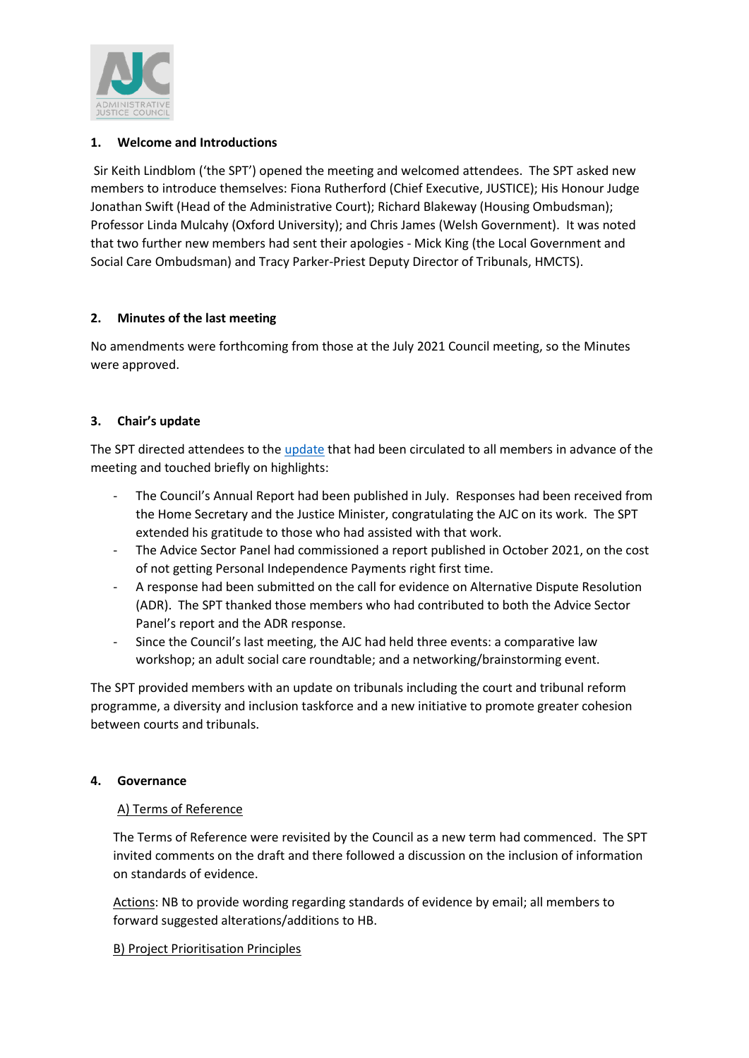

### **1. Welcome and Introductions**

Sir Keith Lindblom ('the SPT') opened the meeting and welcomed attendees. The SPT asked new members to introduce themselves: Fiona Rutherford (Chief Executive, JUSTICE); His Honour Judge Jonathan Swift (Head of the Administrative Court); Richard Blakeway (Housing Ombudsman); Professor Linda Mulcahy (Oxford University); and Chris James (Welsh Government). It was noted that two further new members had sent their apologies - Mick King (the Local Government and Social Care Ombudsman) and Tracy Parker-Priest Deputy Director of Tribunals, HMCTS).

# **2. Minutes of the last meeting**

No amendments were forthcoming from those at the July 2021 Council meeting, so the Minutes were approved.

### **3. Chair's update**

The SPT directed attendees to the [update](https://ajc-justice.co.uk/wp-content/uploads/2022/02/Update-Report-.pdf) that had been circulated to all members in advance of the meeting and touched briefly on highlights:

- The Council's Annual Report had been published in July. Responses had been received from the Home Secretary and the Justice Minister, congratulating the AJC on its work. The SPT extended his gratitude to those who had assisted with that work.
- The Advice Sector Panel had commissioned a report published in October 2021, on the cost of not getting Personal Independence Payments right first time.
- A response had been submitted on the call for evidence on Alternative Dispute Resolution (ADR). The SPT thanked those members who had contributed to both the Advice Sector Panel's report and the ADR response.
- Since the Council's last meeting, the AJC had held three events: a comparative law workshop; an adult social care roundtable; and a networking/brainstorming event.

The SPT provided members with an update on tribunals including the court and tribunal reform programme, a diversity and inclusion taskforce and a new initiative to promote greater cohesion between courts and tribunals.

### **4. Governance**

### A) Terms of Reference

The Terms of Reference were revisited by the Council as a new term had commenced. The SPT invited comments on the draft and there followed a discussion on the inclusion of information on standards of evidence.

Actions: NB to provide wording regarding standards of evidence by email; all members to forward suggested alterations/additions to HB.

### B) Project Prioritisation Principles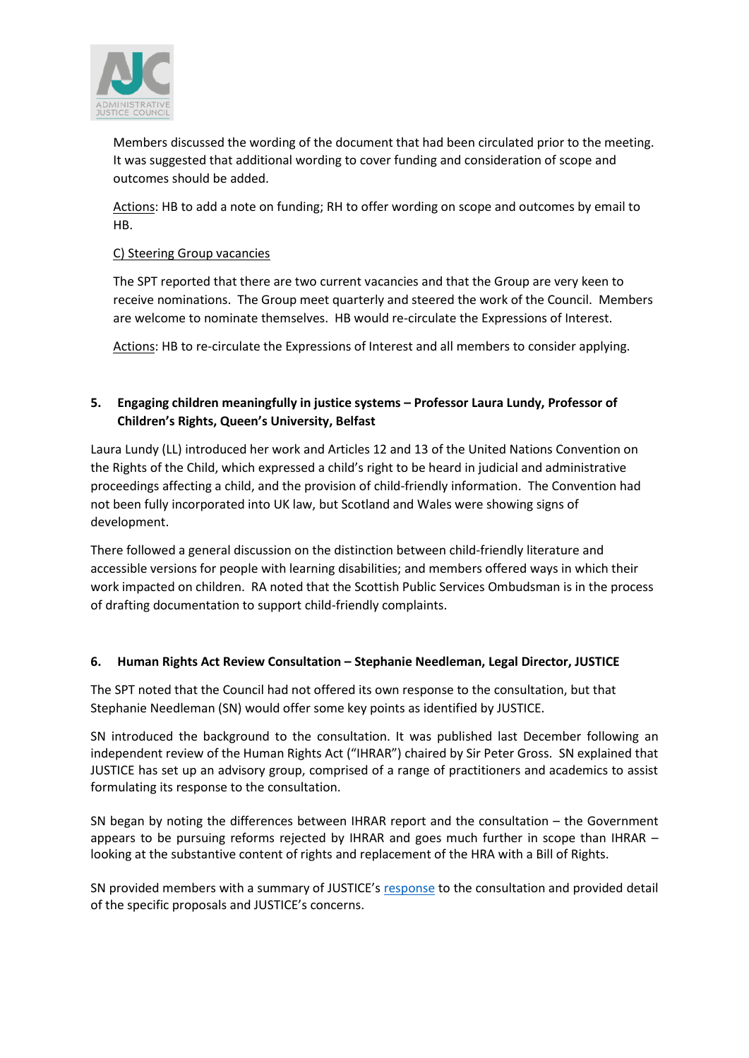

Members discussed the wording of the document that had been circulated prior to the meeting. It was suggested that additional wording to cover funding and consideration of scope and outcomes should be added.

Actions: HB to add a note on funding; RH to offer wording on scope and outcomes by email to HB.

#### C) Steering Group vacancies

The SPT reported that there are two current vacancies and that the Group are very keen to receive nominations. The Group meet quarterly and steered the work of the Council. Members are welcome to nominate themselves. HB would re-circulate the Expressions of Interest.

Actions: HB to re-circulate the Expressions of Interest and all members to consider applying.

## **5. Engaging children meaningfully in justice systems – Professor Laura Lundy, Professor of Children's Rights, Queen's University, Belfast**

Laura Lundy (LL) introduced her work and Articles 12 and 13 of the United Nations Convention on the Rights of the Child, which expressed a child's right to be heard in judicial and administrative proceedings affecting a child, and the provision of child-friendly information. The Convention had not been fully incorporated into UK law, but Scotland and Wales were showing signs of development.

There followed a general discussion on the distinction between child-friendly literature and accessible versions for people with learning disabilities; and members offered ways in which their work impacted on children. RA noted that the Scottish Public Services Ombudsman is in the process of drafting documentation to support child-friendly complaints.

### **6. Human Rights Act Review Consultation – Stephanie Needleman, Legal Director, JUSTICE**

The SPT noted that the Council had not offered its own response to the consultation, but that Stephanie Needleman (SN) would offer some key points as identified by JUSTICE.

SN introduced the background to the consultation. It was published last December following an independent review of the Human Rights Act ("IHRAR") chaired by Sir Peter Gross. SN explained that JUSTICE has set up an advisory group, comprised of a range of practitioners and academics to assist formulating its response to the consultation.

SN began by noting the differences between IHRAR report and the consultation – the Government appears to be pursuing reforms rejected by IHRAR and goes much further in scope than IHRAR – looking at the substantive content of rights and replacement of the HRA with a Bill of Rights.

SN provided members with a summary of JUSTICE's [response](https://files.justice.org.uk/wp-content/uploads/2021/03/08164531/Response-to-IHRAR-March-2021.pdf) to the consultation and provided detail of the specific proposals and JUSTICE's concerns.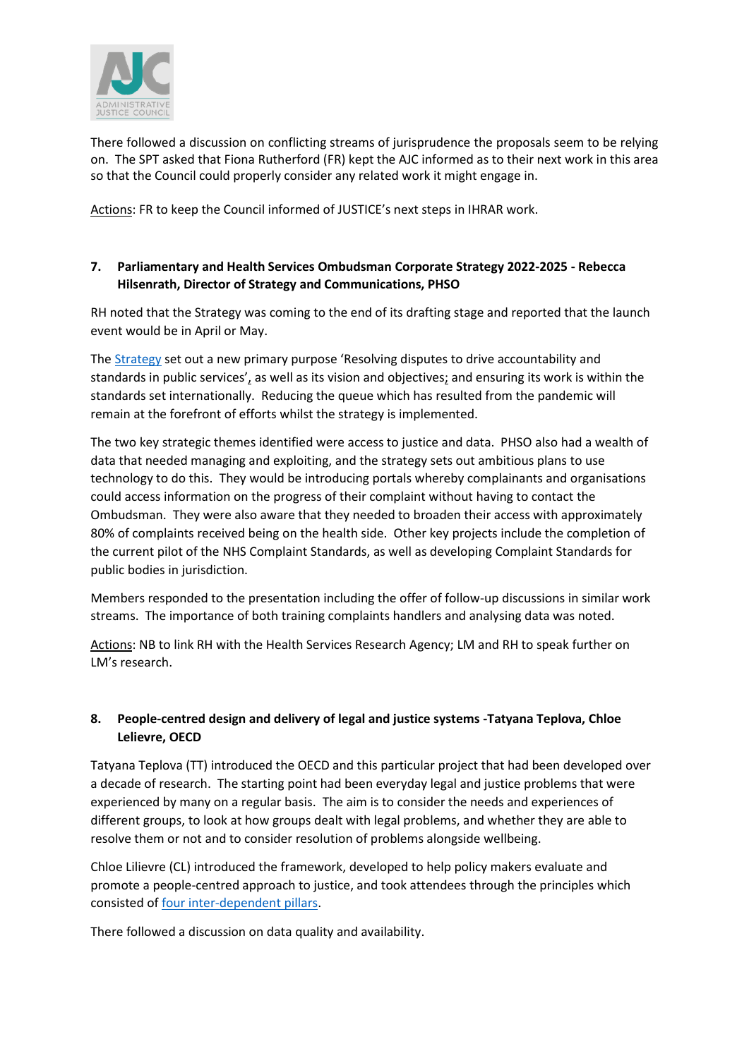

There followed a discussion on conflicting streams of jurisprudence the proposals seem to be relying on. The SPT asked that Fiona Rutherford (FR) kept the AJC informed as to their next work in this area so that the Council could properly consider any related work it might engage in.

Actions: FR to keep the Council informed of JUSTICE's next steps in IHRAR work.

# **7. Parliamentary and Health Services Ombudsman Corporate Strategy 2022-2025 - Rebecca Hilsenrath, Director of Strategy and Communications, PHSO**

RH noted that the Strategy was coming to the end of its drafting stage and reported that the launch event would be in April or May.

The [Strategy](https://www.ombudsman.org.uk/publications/our-strategic-plan-2022-2025) set out a new primary purpose 'Resolving disputes to drive accountability and standards in public services', as well as its vision and objectives; and ensuring its work is within the standards set internationally. Reducing the queue which has resulted from the pandemic will remain at the forefront of efforts whilst the strategy is implemented.

The two key strategic themes identified were access to justice and data. PHSO also had a wealth of data that needed managing and exploiting, and the strategy sets out ambitious plans to use technology to do this. They would be introducing portals whereby complainants and organisations could access information on the progress of their complaint without having to contact the Ombudsman. They were also aware that they needed to broaden their access with approximately 80% of complaints received being on the health side. Other key projects include the completion of the current pilot of the NHS Complaint Standards, as well as developing Complaint Standards for public bodies in jurisdiction.

Members responded to the presentation including the offer of follow-up discussions in similar work streams. The importance of both training complaints handlers and analysing data was noted.

Actions: NB to link RH with the Health Services Research Agency; LM and RH to speak further on LM's research.

# **8. People-centred design and delivery of legal and justice systems -Tatyana Teplova, Chloe Lelievre, OECD**

Tatyana Teplova (TT) introduced the OECD and this particular project that had been developed over a decade of research. The starting point had been everyday legal and justice problems that were experienced by many on a regular basis. The aim is to consider the needs and experiences of different groups, to look at how groups dealt with legal problems, and whether they are able to resolve them or not and to consider resolution of problems alongside wellbeing.

Chloe Lilievre (CL) introduced the framework, developed to help policy makers evaluate and promote a people-centred approach to justice, and took attendees through the principles which consisted o[f four inter-dependent pillars.](https://www.oecd-ilibrary.org/sites/cdc3bde7-en/1/3/2/index.html?itemId=/content/publication/cdc3bde7-en&_csp_=34f65033a2a54df2f3bda223c22c4337&itemIGO=oecd&itemContentType=book#figure-d1e2034)

There followed a discussion on data quality and availability.